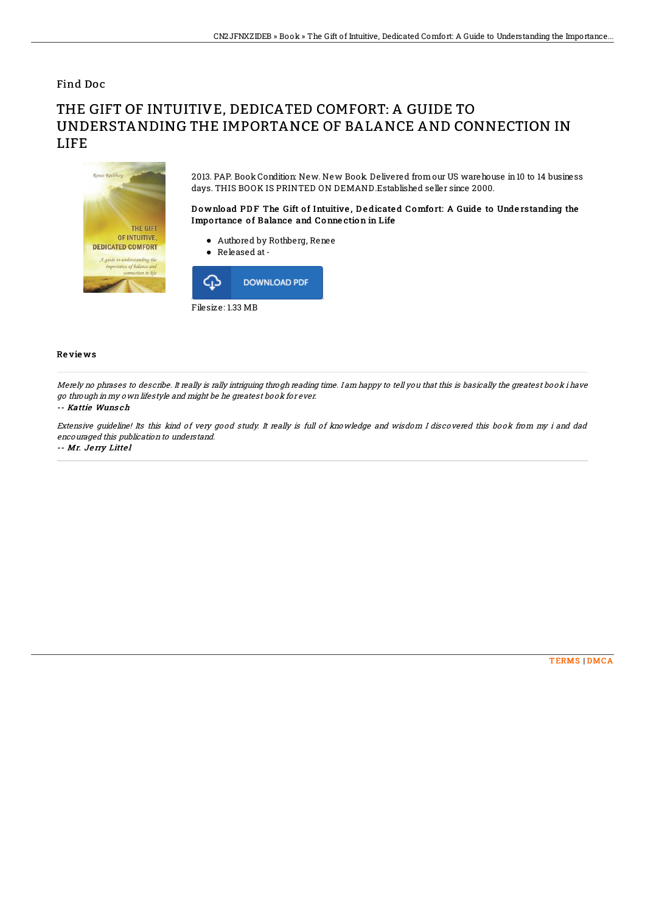## Find Doc

# THE GIFT OF INTUITIVE, DEDICATED COMFORT: A GUIDE TO UNDERSTANDING THE IMPORTANCE OF BALANCE AND CONNECTION IN LIFE



2013. PAP. Book Condition: New. New Book. Delivered fromour US warehouse in10 to 14 business days. THIS BOOK IS PRINTED ON DEMAND.Established seller since 2000.

### Download PDF The Gift of Intuitive, Dedicated Comfort: A Guide to Understanding the Importance of Balance and Connection in Life

- Authored by Rothberg, Renee
- Released at-



#### Re vie ws

Merely no phrases to describe. It really is rally intriguing throgh reading time. I am happy to tell you that this is basically the greatest book i have go through in my own lifestyle and might be he greatest book for ever.

#### -- Kattie Wuns ch

Extensive guideline! Its this kind of very good study. It really is full of knowledge and wisdom I discovered this book from my i and dad encouraged this publication to understand.

-- Mr. Je rry Litte l